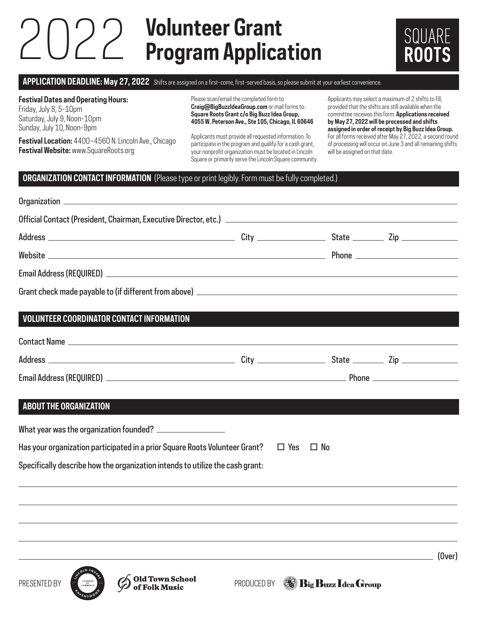# **Volunteer Grant** 2022 **Program Application**



### **APPLICATION DEADLINE: May 27, 2022** Shifts are assigned on a first-come, first-served basis, so please submit at your earliest convenience.

**Festival Dates and Operating Hours:**

Friday, July 8, 5-10pm Saturday, July 9, Noon-10pm Sunday, July 10, Noon-9pm

**Festival Location:** 4400–4560 N. Lincoln Ave., Chicago **Festival Website:** www.SquareRoots.org

Please scan/email the completed form to **Craig@BigBuzzIdeaGroup.com** or mail forms to: **Square Roots Grant c/o Big Buzz Idea Group, 4055 W. Peterson Ave., Ste 105, Chicago, IL 60646**

Applicants must provide all requested information. To participate in the program and qualify for a cash grant, your nonprofit organization must be located in Lincoln Square or primarily serve the Lincoln Square community.

Applicants may select a maximum of 2 shifts to fill, provided that the shifts are still available when the committee receives this form. **Applications received by May 27, 2022 will be processed and shifts assigned in order of receipt by Big Buzz Idea Group.** For all forms received after May 27, 2022, a second round of processing will occur on June 3 and all remaining shifts will be assigned on that date.

#### **ORGANIZATION CONTACT INFORMATION** (Please type or print legibly. Form must be fully completed.)

| Official Contact (President, Chairman, Executive Director, etc.) 2008 2010 2020 2020 2020 2021 2022 2021 2022 |                                                                                                                                                                                                                                      |           |  |
|---------------------------------------------------------------------------------------------------------------|--------------------------------------------------------------------------------------------------------------------------------------------------------------------------------------------------------------------------------------|-----------|--|
|                                                                                                               |                                                                                                                                                                                                                                      |           |  |
|                                                                                                               |                                                                                                                                                                                                                                      |           |  |
|                                                                                                               |                                                                                                                                                                                                                                      |           |  |
|                                                                                                               |                                                                                                                                                                                                                                      |           |  |
| <b>VOLUNTEER COORDINATOR CONTACT INFORMATION</b>                                                              |                                                                                                                                                                                                                                      |           |  |
|                                                                                                               |                                                                                                                                                                                                                                      |           |  |
|                                                                                                               |                                                                                                                                                                                                                                      |           |  |
|                                                                                                               |                                                                                                                                                                                                                                      |           |  |
| ABOUT THE ORGANIZATION                                                                                        |                                                                                                                                                                                                                                      |           |  |
| What year was the organization founded?                                                                       |                                                                                                                                                                                                                                      |           |  |
| Has your organization participated in a prior Square Roots Volunteer Grant?                                   | $\Box$ Yes                                                                                                                                                                                                                           | $\Box$ No |  |
| Specifically describe how the organization intends to utilize the cash grant:                                 |                                                                                                                                                                                                                                      |           |  |
|                                                                                                               |                                                                                                                                                                                                                                      |           |  |
|                                                                                                               |                                                                                                                                                                                                                                      |           |  |
|                                                                                                               |                                                                                                                                                                                                                                      |           |  |
|                                                                                                               | <u>(Over) and the contract of the contract of the contract of the contract of the contract of the contract of the contract of the contract of the contract of the contract of the contract of the contract of the contract of th</u> |           |  |